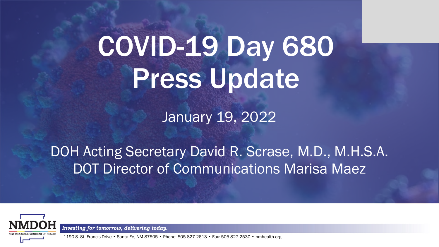# COVID-19 Day 680 Press Update

January 19, 2022

DOH Acting Secretary David R. Scrase, M.D., M.H.S.A. DOT Director of Communications Marisa Maez



Investing for tomorrow, delivering today.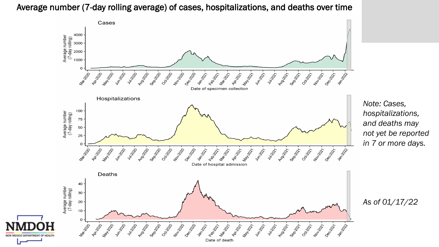Average number (7-day rolling average) of cases, hospitalizations, and deaths over time



*Note: Cases, hospitalizations, and deaths may not yet be reported in 7 or more days.*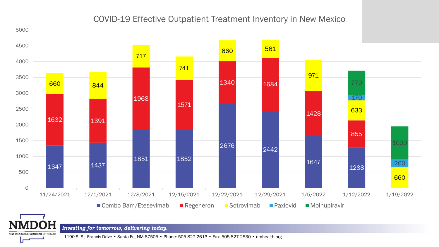#### COVID-19 Effective Outpatient Treatment Inventory in New Mexico



Investing for tomorrow, delivering today.

NEW MEXICO DEPARTMENT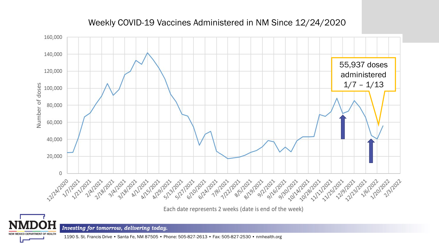#### Weekly COVID-19 Vaccines Administered in NM Since 12/24/2020



Each date represents 2 weeks (date is end of the week)



Investing for tomorrow, delivering today.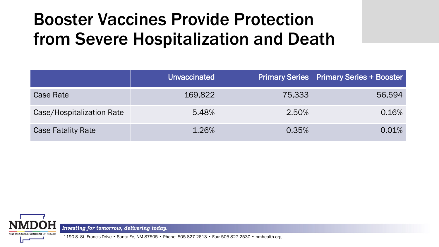### Booster Vaccines Provide Protection from Severe Hospitalization and Death

|                           | Unvaccinated |        | <b>Primary Series   Primary Series + Booster</b> |
|---------------------------|--------------|--------|--------------------------------------------------|
| <b>Case Rate</b>          | 169,822      | 75,333 | 56,594                                           |
| Case/Hospitalization Rate | 5.48%        | 2.50%  | 0.16%                                            |
| <b>Case Fatality Rate</b> | 1.26%        | 0.35%  | 0.01%                                            |



Investing for tomorrow, delivering today.